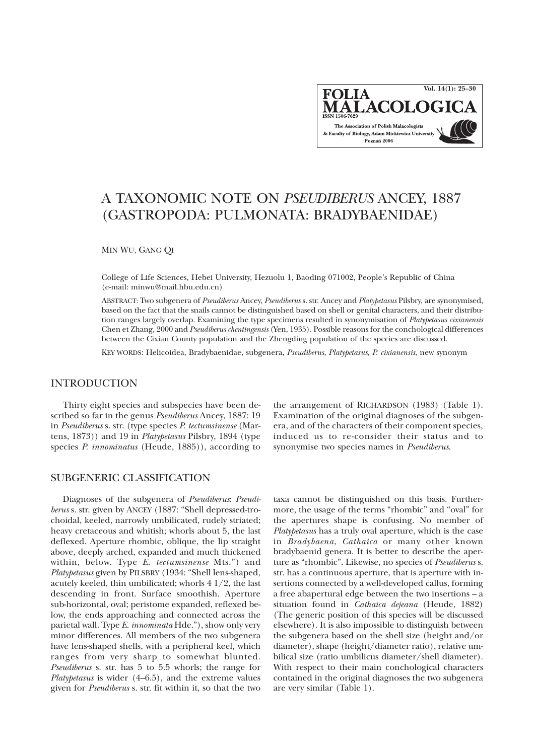**Vol. 14(1): 25–30FOLIA ALACOLO** The Association of Polish Malacologists & Faculty of Biology, Adam Mickiewicz University Poznań 2006

# A TAXONOMIC NOTE ON *PSEUDIBERUS* ANCEY, 1887 (GASTROPODA: PULMONATA: BRADYBAENIDAE)

MIN WU, GANG QI

College of Life Sciences, Hebei University, Hezuolu 1, Baoding 071002, People's Republic of China (e-mail: minwu@mail.hbu.edu.cn)

ABSTRACT: Two subgenera of *Pseudiberus* Ancey, *Pseudiberus* s. str. Ancey and *Platypetasus* Pilsbry, are synonymised, based on the fact that the snails cannot be distinguished based on shell or genital characters, and their distribution ranges largely overlap. Examining the type specimens resulted in synonymisation of *Platypetasus cixianensis* Chen et Zhang, 2000 and *Pseudiberus chentingensis* (Yen, 1935). Possible reasons for the conchological differences between the Cixian County population and the Zhengding population of the species are discussed.

KEY WORDS: Helicoidea, Bradybaenidae, subgenera, *Pseudiberus*, *Platypetasus*, *P*. *cixianensis*, new synonym

# INTRODUCTION

Thirty eight species and subspecies have been described so far in the genus *Pseudiberus* Ancey, 1887: 19 in *Pseudiberus* s. str. (type species *P. tectumsinense* (Martens, 1873)) and 19 in *Platypetasus* Pilsbry, 1894 (type species *P. innominatus* (Heude, 1885)), according to

# SUBGENERIC CLASSIFICATION

Diagnoses of the subgenera of *Pseudiberus*: *Pseudiberus* s. str. given by ANCEY (1887: "Shell depressed-trochoidal, keeled, narrowly umbilicated, rudely striated; heavy cretaceous and whitish; whorls about 5, the last deflexed. Aperture rhombic, oblique, the lip straight above, deeply arched, expanded and much thickened within, below. Type *E*. *tectumsinense* Mts.") and *Platypetasus* given by PILSBRY (1934: "Shell lens-shaped, acutely keeled, thin umbilicated; whorls 4 1/2, the last descending in front. Surface smoothish. Aperture sub-horizontal, oval; peristome expanded, reflexed below, the ends approaching and connected across the parietal wall. Type *E*. *innominata* Hde."), show only very minor differences. All members of the two subgenera have lens-shaped shells, with a peripheral keel, which ranges from very sharp to somewhat blunted. *Pseudiberus* s. str. has 5 to 5.5 whorls; the range for *Platypetasus* is wider (4–6.5), and the extreme values given for *Pseudiberus* s. str. fit within it, so that the two

the arrangement of RICHARDSON (1983) (Table 1). Examination of the original diagnoses of the subgenera, and of the characters of their component species, induced us to re-consider their status and to synonymise two species names in *Pseudiberus*.

taxa cannot be distinguished on this basis. Furthermore, the usage of the terms "rhombic" and "oval" for the apertures shape is confusing. No member of *Platypetasus* has a truly oval aperture, which is the case in *Bradybaena*, *Cathaica* or many other known bradybaenid genera. It is better to describe the aperture as "rhombic". Likewise, no species of *Pseudiberus* s. str. has a continuous aperture, that is aperture with insertions connected by a well-developed callus, forming a free abapertural edge between the two insertions – a situation found in *Cathaica dejeana* (Heude, 1882) (The generic position of this species will be discussed elsewhere). It is also impossible to distinguish between the subgenera based on the shell size (height and/or diameter), shape (height/diameter ratio), relative umbilical size (ratio umbilicus diameter/shell diameter). With respect to their main conchological characters contained in the original diagnoses the two subgenera are very similar (Table 1).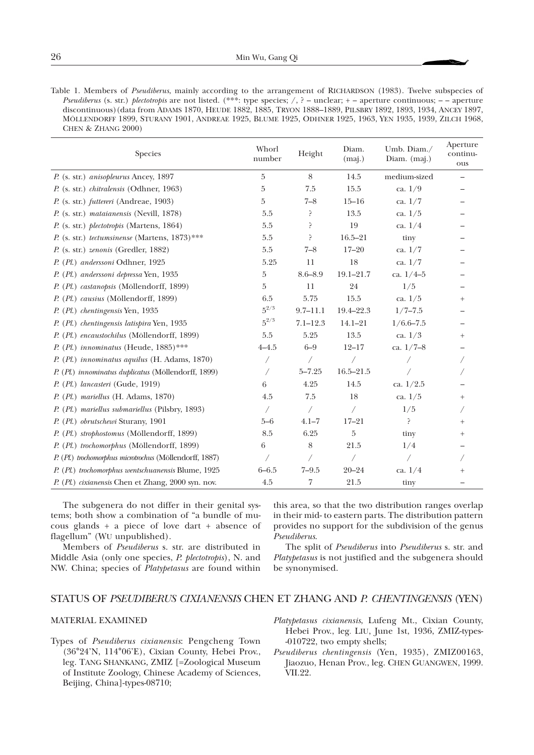Table 1. Members of *Pseudiberus*, mainly according to the arrangement of RICHARDSON (1983). Twelve subspecies of *Pseudiberus* (s. str.) *plectotropis* are not listed. (\*\*\*: type species; /, ? – unclear; + – aperture continuous; – – aperture discontinuous)(data from ADAMS 1870, HEUDE 1882, 1885, TRYON 1888–1889, PILSBRY 1892, 1893, 1934, ANCEY 1897, MÖLLENDORFF 1899, STURANY 1901, ANDREAE 1925, BLUME 1925, ODHNER 1925, 1963, YEN 1935, 1939, ZILCH 1968, CHEN & ZHANG 2000)

| Species                                                 | Whorl<br>number | Height       |               | Umb. Diam./<br>Diam. (maj.) | Aperture<br>continu-<br>ous |
|---------------------------------------------------------|-----------------|--------------|---------------|-----------------------------|-----------------------------|
| P. (s. str.) anisopleurus Ancey, 1897                   | 5               | $\,8\,$      | 14.5          | medium-sized                | —                           |
| P. (s. str.) chitralensis (Odhner, 1963)                | $\overline{5}$  | 7.5          | 15.5          | ca. $1/9$                   |                             |
| P. (s. str.) futtereri (Andreae, 1903)                  | 5               | $7 - 8$      | $15 - 16$     | ca. $1/7$                   |                             |
| P. (s. str.) mataianensis (Nevill, 1878)                | 5.5             | ?            | 13.5          | ca. $1/5$                   |                             |
| P. (s. str.) plectotropis (Martens, 1864)               | 5.5             | 5            | 19            | ca. $1/4$                   |                             |
| P. (s. str.) tectumsinense (Martens, $1873$ )***        | 5.5             | ?            | $16.5 - 21$   | tiny                        |                             |
| P. (s. str.) zenonis (Gredler, 1882)                    | 5.5             | $7 - 8$      | $17 - 20$     | ca. $1/7$                   |                             |
| P. (Pl.) anderssoni Odhner, 1925                        | 5.25            | 11           | 18            | ca. $1/7$                   |                             |
| P. (Pl.) anderssoni depressa Yen, 1935                  | 5               | $8.6 - 8.9$  | $19.1 - 21.7$ | ca. $1/4-5$                 |                             |
| P. (Pl.) castanopsis (Möllendorff, 1899)                | 5               | 11           | 24            | 1/5                         |                             |
| P. (Pl.) causius (Möllendorff, 1899)                    | 6.5             | 5.75         | 15.5          | ca. $1/5$                   | $^{+}$                      |
| P. (Pl.) chentingensis Yen, 1935                        | $5^{2/3}$       | $9.7 - 11.1$ | 19.4-22.3     | $1/7 - 7.5$                 |                             |
| P. (Pl.) chentingensis latispira Yen, 1935              | $5^{2/3}$       | $7.1 - 12.3$ | $14.1 - 21$   | $1/6.6 - 7.5$               |                             |
| P. (Pl.) encaustochilus (Möllendorff, 1899)             | 5.5             | 5.25         | 13.5          | ca. $1/3$                   | $^{+}$                      |
| P. (Pl.) innominatus (Heude, 1885)***                   | $4 - 4.5$       | $6 - 9$      | $12 - 17$     | ca. $1/7 - 8$               |                             |
| P. (Pl.) innominatus aquilus (H. Adams, 1870)           |                 |              | $\sqrt{2}$    |                             |                             |
| P. (Pl.) innominatus duplicatus (Möllendorff, 1899)     |                 | $5 - 7.25$   | $16.5 - 21.5$ |                             |                             |
| P. (Pl.) lancasteri (Gude, 1919)                        | 6               | 4.25         | 14.5          | ca. $1/2.5$                 |                             |
| $P. (Pl.)$ mariellus (H. Adams, 1870)                   | 4.5             | 7.5          | 18            | ca. $1/5$                   | $^+$                        |
| P. (Pl.) mariellus submariellus (Pilsbry, 1893)         | Γ               | $\sqrt{2}$   | $\sqrt{2}$    | 1/5                         |                             |
| P. (Pl.) obrutschewi Sturany, 1901                      | $5 - 6$         | $4.1 - 7$    | $17 - 21$     | ç.                          | $^+$                        |
| P. (Pl.) strophostomus (Möllendorff, 1899)              | 8.5             | 6.25         | 5             | tiny                        | $^+$                        |
| P. (Pl.) trochomorphus (Möllendorff, 1899)              | 6               | 8            | 21.5          | 1/4                         |                             |
| P. (Pl.) trochomorphus microtrochus (Möllendorff, 1887) |                 |              | $\sqrt{2}$    |                             |                             |
| P. (Pl.) trochomorphus wentschuanensis Blume, 1925      | $6 - 6.5$       | $7 - 9.5$    | $20 - 24$     | ca. $1/4$                   | $^+$                        |
| P. (Pl.) cixianensis Chen et Zhang, 2000 syn. nov.      | 4.5             | 7            | 21.5          | tiny                        |                             |

The subgenera do not differ in their genital systems; both show a combination of "a bundle of mucous glands + a piece of love dart + absence of flagellum" (WU unpublished).

Members of *Pseudiberus* s. str. are distributed in Middle Asia (only one species, *P*. *plectotropis*), N. and NW. China; species of *Platypetasus* are found within

this area, so that the two distribution ranges overlap in their mid- to eastern parts. The distribution pattern provides no support for the subdivision of the genus *Pseudiberus*.

The split of *Pseudiberus* into *Pseudiberus* s. str. and *Platypetasus* is not justified and the subgenera should be synonymised.

## STATUS OF *PSEUDIBERUS CIXIANENSIS* CHEN ET ZHANG AND *P. CHENTINGENSIS* (YEN)

#### MATERIAL EXAMINED

- Types of *Pseudiberus cixianensis*: Pengcheng Town (36°24'N, 114°06'E), Cixian County, Hebei Prov., leg. TANG SHANKANG, ZMIZ [=Zoological Museum of Institute Zoology, Chinese Academy of Sciences, Beijing, China]-types-08710;
- *Platypetasus cixianensis*, Lufeng Mt., Cixian County, Hebei Prov., leg. LIU, June 1st, 1936, ZMIZ-types- -010722, two empty shells;
- *Pseudiberus chentingensis* (Yen, 1935), ZMIZ00163, Jiaozuo, Henan Prov., leg. CHEN GUANGWEN, 1999. ўII.22.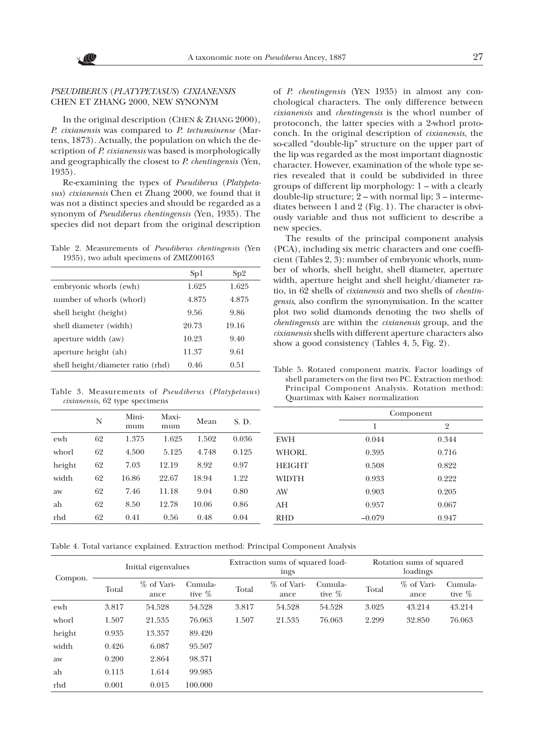## *PSEUDIBERUS* (*PLATYPETASUS*) *CIXIANENSIS* CHEN ET ZHANG 2000, NEW SYNONYM

In the original description (CHEN & ZHANG 2000), *P*. *cixianensis* was compared to *P*. *tectumsinense* (Martens, 1873). Actually, the population on which the description of *P*. *cixianensis* was based is morphologically and geographically the closest to *P*. *chentingensis* (Yen, 1935).

Re-examining the types of *Pseudiberus* (*Platypetasus*) *cixianensis* Chen et Zhang 2000, we found that it was not a distinct species and should be regarded as a synonym of *Pseudiberus chentingensis* (Yen, 1935). The species did not depart from the original description

Table 2. Measurements of *Pseudiberus chentingensis* (Yen 1935), two adult specimens of ZMIZ00163

|                                   | Sp1   | Sp2   |
|-----------------------------------|-------|-------|
| embryonic whorls (ewh)            | 1.625 | 1.625 |
| number of whorls (whorl)          | 4.875 | 4.875 |
| shell height (height)             | 9.56  | 9.86  |
| shell diameter (width)            | 20.73 | 19.16 |
| aperture width (aw)               | 10.23 | 9.40  |
| aperture height (ah)              | 11.37 | 9.61  |
| shell height/diameter ratio (rhd) | 0.46  | 0.51  |

Table 3. Measurements of *Pseudiberus* (*Platypetasus*) *cixianensis*, 62 type specimens

|        | N  | Mini-<br>mum | Maxi-<br>mum | Mean  | S. D. |
|--------|----|--------------|--------------|-------|-------|
| ewh    | 62 | 1.375        | 1.625        | 1.502 | 0.036 |
| whorl  | 62 | 4.500        | 5.125        | 4.748 | 0.125 |
| height | 62 | 7.03         | 12.19        | 8.92  | 0.97  |
| width  | 62 | 16.86        | 22.67        | 18.94 | 1.22  |
| aw     | 62 | 7.46         | 11.18        | 9.04  | 0.80  |
| ah     | 62 | 8.50         | 12.78        | 10.06 | 0.86  |
| rhd    | 62 | 0.41         | 0.56         | 0.48  | 0.04  |

of *P*. *chentingensis* (YEN 1935) in almost any conchological characters. The only difference between *cixianensis* and *chentingensis* is the whorl number of protoconch, the latter species with a 2-whorl protoconch. In the original description of *cixianensis*, the so-called "double-lip" structure on the upper part of the lip was regarded as the most important diagnostic character. However, examination of the whole type series revealed that it could be subdivided in three groups of different lip morphology: 1 – with a clearly double-lip structure; 2 – with normal lip; 3 – intermediates between 1 and 2 (Fig. 1). The character is obviously variable and thus not sufficient to describe a new species.

The results of the principal component analysis (PCA), including six metric characters and one coefficient (Tables 2, 3): number of embryonic whorls, number of whorls, shell height, shell diameter, aperture width, aperture height and shell height/diameter ratio, in 62 shells of *cixianensis* and two shells of *chentingensis*, also confirm the synonymisation. In the scatter plot two solid diamonds denoting the two shells of *chentingensis* are within the *cixianensis* group, and the *cixianensis* shells with different aperture characters also show a good consistency (Tables 4, 5, Fig. 2).

Table 5. Rotated component matrix. Factor loadings of shell parameters on the first two PC. Extraction method: Principal Component Analysis. Rotation method: Quartimax with Kaiser normalization

|               | Component |       |  |  |
|---------------|-----------|-------|--|--|
|               | 1         | 2     |  |  |
| <b>EWH</b>    | 0.044     | 0.344 |  |  |
| <b>WHORL</b>  | 0.395     | 0.716 |  |  |
| <b>HEIGHT</b> | 0.508     | 0.822 |  |  |
| <b>WIDTH</b>  | 0.933     | 0.222 |  |  |
| AW            | 0.903     | 0.205 |  |  |
| AH            | 0.957     | 0.067 |  |  |
| <b>RHD</b>    | $-0.079$  | 0.947 |  |  |

Table 4. Total variance explained. Extraction method: Principal Component Analysis

| Compon. |       | Initial eigenvalues  |                      | Extraction sums of squared load-<br>ings |                      |                      | Rotation sums of squared<br>loadings |                      |                      |
|---------|-------|----------------------|----------------------|------------------------------------------|----------------------|----------------------|--------------------------------------|----------------------|----------------------|
|         | Total | $%$ of Vari-<br>ance | Cumula-<br>tive $\%$ | Total                                    | $%$ of Vari-<br>ance | Cumula-<br>tive $\%$ | Total                                | $%$ of Vari-<br>ance | Cumula-<br>tive $\%$ |
| ewh     | 3.817 | 54.528               | 54.528               | 3.817                                    | 54.528               | 54.528               | 3.025                                | 43.214               | 43.214               |
| whorl   | 1.507 | 21.535               | 76.063               | 1.507                                    | 21.535               | 76.063               | 2.299                                | 32.850               | 76.063               |
| height  | 0.935 | 13.357               | 89.420               |                                          |                      |                      |                                      |                      |                      |
| width   | 0.426 | 6.087                | 95.507               |                                          |                      |                      |                                      |                      |                      |
| aw      | 0.200 | 2.864                | 98.371               |                                          |                      |                      |                                      |                      |                      |
| ah      | 0.113 | 1.614                | 99.985               |                                          |                      |                      |                                      |                      |                      |
| rhd     | 0.001 | 0.015                | 100.000              |                                          |                      |                      |                                      |                      |                      |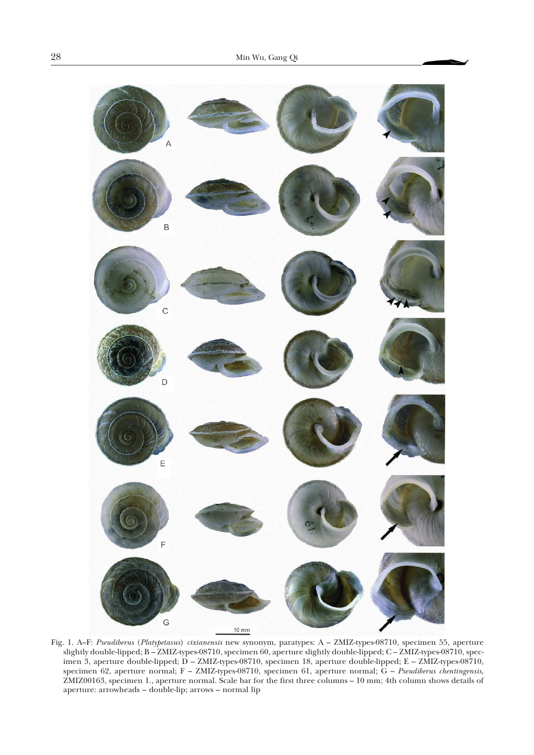

Fig. 1. A–F: *Pseudiberus* (*Platypetasus*) *cixianensis* new synonym, paratypes: A – ZMIZ-types-08710, specimen 55, aperture slightly double-lipped; B – ZMIZ-types-08710, specimen 60, aperture slightly double-lipped; C – ZMIZ-types-08710, specimen 3, aperture double-lipped; D – ZMIZ-types-08710, specimen 18, aperture double-lipped; E – ZMIZ-types-08710, specimen 62, aperture normal; F – ZMIZ-types-08710, specimen 61, aperture normal; G – *Pseudiberus chentingensis*, ZMIZ00163, specimen 1., aperture normal. Scale bar for the first three columns – 10 mm; 4th column shows details of aperture: arrowheads – double-lip; arrows – normal lip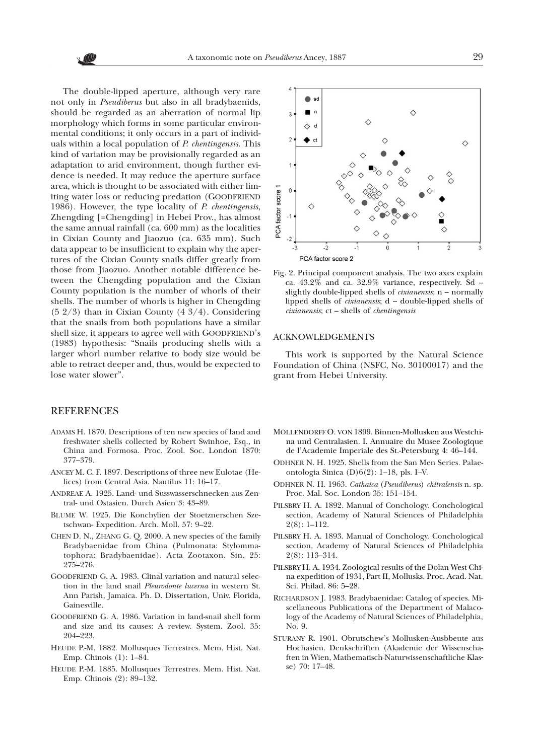The double-lipped aperture, although very rare not only in *Pseudiberus* but also in all bradybaenids, should be regarded as an aberration of normal lip morphology which forms in some particular environmental conditions; it only occurs in a part of individuals within a local population of *P*. *chentingensis*. This kind of variation may be provisionally regarded as an adaptation to arid environment, though further evidence is needed. It may reduce the aperture surface area, which is thought to be associated with either limiting water loss or reducing predation (GOODFRIEND 1986). However, the type locality of *P*. *chentingensis*, Zhengding [=Chengding] in Hebei Prov., has almost the same annual rainfall (ca. 600 mm) as the localities in Cixian County and Jiaozuo (ca. 635 mm). Such data appear to be insufficient to explain why the apertures of the Cixian County snails differ greatly from those from Jiaozuo. Another notable difference between the Chengding population and the Cixian County population is the number of whorls of their shells. The number of whorls is higher in Chengding (5 2/3) than in Cixian County (4 3/4). Considering that the snails from both populations have a similar shell size, it appears to agree well with GOODFRIEND's (1983) hypothesis: "Snails producing shells with a larger whorl number relative to body size would be able to retract deeper and, thus, would be expected to lose water slower".

# **REFERENCES**

- ADAMS H. 1870. Descriptions of ten new species of land and freshwater shells collected by Robert Swinhoe, Esq., in China and Formosa. Proc. Zool. Soc. London 1870: 377–379.
- ANCEY M. C. F. 1897. Descriptions of three new Eulotae (Helices) from Central Asia. Nautilus 11: 16–17.
- ANDREAE A. 1925. Land- und Susswasserschnecken aus Zentral- und Ostasien. Durch Asien 3: 43–89.
- BLUME W. 1925. Die Konchylien der Stoetznerschen Szetschwan- Expedition. Arch. Moll. 57: 9–22.
- CHEN D. N., ZHANG G. Q. 2000. A new species of the family Bradybaenidae from China (Pulmonata: Stylommatophora: Bradybaenidae). Acta Zootaxon. Sin. 25: 275–276.
- GOODFRIEND G. A. 1983. Clinal variation and natural selection in the land snail *Pleurodonte lucerna* in western St. Ann Parish, Jamaica. Ph. D. Dissertation, Univ. Florida, Gainesville.
- GOODFRIEND G. A. 1986. Variation in land-snail shell form and size and its causes: A review. System. Zool. 35: 204–223.
- HEUDE P.-M. 1882. Mollusques Terrestres. Mem. Hist. Nat. Emp. Chinois (1): 1–84.
- HEUDE P.-M. 1885. Mollusques Terrestres. Mem. Hist. Nat. Emp. Chinois (2): 89–132.



Fig. 2. Principal component analysis. The two axes explain ca. 43.2% and ca. 32.9% variance, respectively. Sd – slightly double-lipped shells of *cixianensis*; n – normally lipped shells of *cixianensis*; d – double-lipped shells of *cixianensis*; ct – shells of *chentingensis*

## ACKNOWLEDGEMENTS

This work is supported by the Natural Science Foundation of China (NSFC, No. 30100017) and the grant from Hebei University.

- MÖLLENDORFF O. VON 1899. Binnen-Mollusken aus Westchina und Centralasien. I. Annuaire du Musee Zoologique de l'Academie Imperiale des St.-Petersburg 4: 46–144.
- ODHNER N. H. 1925. Shells from the San Men Series. Palaeontologia Sinica (D)6(2): 1–18, pls. I–V.
- ODHNER N. H. 1963. *Cathaica* (*Pseudiberus*) *chitralensis* n. sp. Proc. Mal. Soc. London 35: 151–154.
- PILSBRY H. A. 1892. Manual of Conchology. Conchological section, Academy of Natural Sciences of Philadelphia 2(8): 1–112.
- PILSBRY H. A. 1893. Manual of Conchology. Conchological section, Academy of Natural Sciences of Philadelphia 2(8): 113–314.
- PILSBRY H. A. 1934. Zoological results of the Dolan West China expedition of 1931, Part II, Mollusks. Proc. Acad. Nat. Sci. Philad. 86: 5–28.
- RICHARDSON J. 1983. Bradybaenidae: Catalog of species. Miscellaneous Publications of the Department of Malacology of the Academy of Natural Sciences of Philadelphia, No. 9.
- STURANY R. 1901. Obrutschew's Mollusken-Ausbbeute aus Hochasien. Denkschriften (Akademie der Wissenschaften in Wien, Mathematisch-Naturwissenschaftliche Klasse) 70: 17–48.